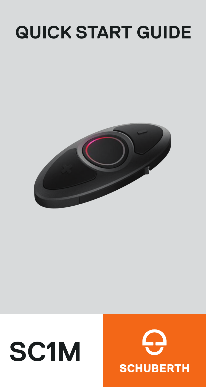## **QUICK START GUIDE**



# **SC1M**

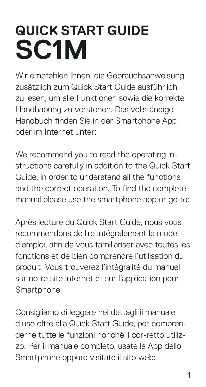## **SC1M QUICK START GUIDE**

Wir empfehlen Ihnen, die Gebrauchsanweisung zusätzlich zum Quick Start Guide ausführlich zu lesen, um alle Funktionen sowie die korrekte Handhabung zu verstehen. Das vollständige Handbuch finden Sie in der Smartphone App oder im Internet unter:

We recommend you to read the operating instructions carefully in addition to the Quick Start Guide, in order to understand all the functions and the correct operation. To find the complete manual please use the smartphone app or go to:

Après lecture du Quick Start Guide, nous vous recommendons de lire intégralement le mode d'emploi, afin de vous familiariser avec toutes les fonctions et de bien comprendre l'utilisation du produit. Vous trouverez l'intégralité du manuel sur notre site internet et sur l'application pour Smartphone:

Consigliamo di leggere nei dettagli il manuale d'uso oltre alla Quick Start Guide, per comprenderne tutte le funzioni nonché il cor-retto utilizzo. Per il manuale completo, usate la App dello Smartphone oppure visitate il sito web: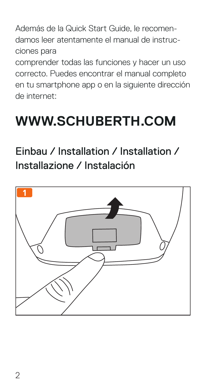Además de la Quick Start Guide, le recomendamos leer atentamente el manual de instrucciones para

comprender todas las funciones y hacer un uso correcto. Puedes encontrar el manual completo en tu smartphone app o en la siguiente dirección de internet:

### **WWW.SCHUBERTH.COM**

#### Einbau / Installation / Installation / Installazione / Instalación

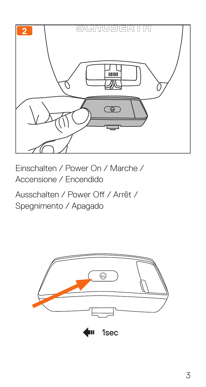

Einschalten / Power On / Marche / Accensione / Encendido Ausschalten / Power Off / Arrêt /

Spegnimento / Apagado

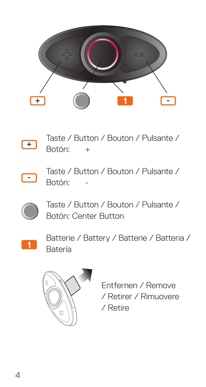



Taste / Button / Bouton / Pulsante / Botón: +



Taste / Button / Bouton / Pulsante / Botón:



Taste / Button / Bouton / Pulsante / Botón: Center Button



**<sup>1</sup>** Batterie / Battery / Batterie / Batteria / Batería



Entfernen / Remove / Retirer / Rimuovere / Retire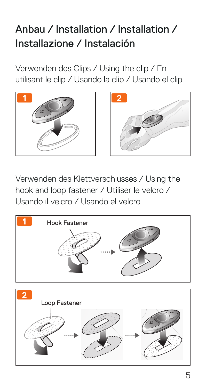#### Anbau / Installation / Installation / Installazione / Instalación

Verwenden des Clips / Using the clip / En utilisant le clip / Usando la clip / Usando el clip





Verwenden des Klettverschlusses / Using the hook and loop fastener / Utiliser le velcro / Usando il velcro / Usando el velcro

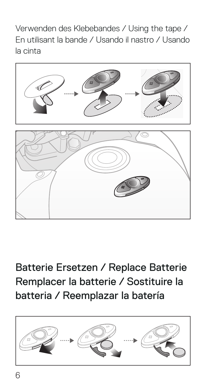Verwenden des Klebebandes / Using the tape / En utilisant la bande / Usando il nastro / Usando la cinta



Batterie Ersetzen / Replace Batterie Remplacer la batterie / Sostituire la batteria / Reemplazar la batería

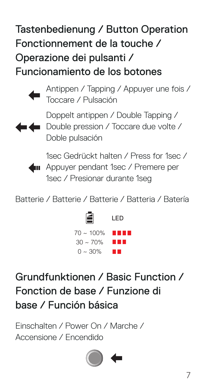#### Tastenbedienung / Button Operation Fonctionnement de la touche / Operazione dei pulsanti / Funcionamiento de los botones



Antippen / Tapping / Appuyer une fois / Toccare / Pulsación



Doppelt antippen / Double Tapping / **Double pression / Toccare due volte /** Doble pulsación



1sec Gedrückt halten / Press for 1sec / **40** Appuyer pendant 1sec / Premere per 1sec / Presionar durante 1seg

Batterie / Batterie / Batterie / Batteria / Batería



Grundfunktionen / Basic Function / Fonction de base / Funzione di base / Función básica

Einschalten / Power On / Marche / Accensione / Encendido

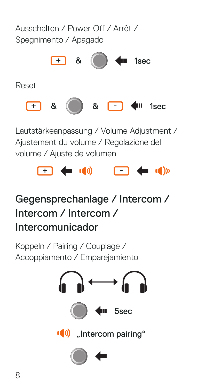

Lautstärkeanpassung / Volume Adjustment / Ajustement du volume / Regolazione del volume / Ajuste de volumen



#### Gegensprechanlage / Intercom / Intercom / Intercom / Intercomunicador

Koppeln / Pairing / Couplage / Accoppiamento / Emparejamiento

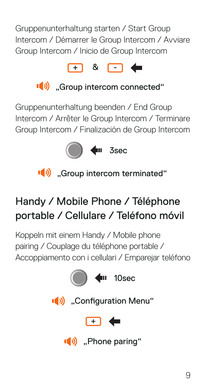Gruppenunterhaltung starten / Start Group Intercom / Démarrer le Group Intercom / Avviare Group Intercom / Inicio de Group Intercom





Gruppenunterhaltung beenden / End Group Intercom / Arrêter le Group Intercom / Terminare Group Intercom / Finalización de Group Intercom



(b) ...Group intercom terminated"

#### Handy / Mobile Phone / Téléphone portable / Cellulare / Teléfono móvil

Koppeln mit einem Handy / Mobile phone pairing / Couplage du téléphone portable / Accoppiamento con i cellulari / Emparejar teléfono

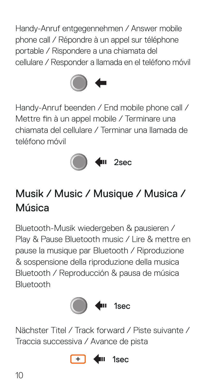Handy-Anruf entgegennehmen / Answer mobile phone call / Répondre à un appel sur téléphone portable / Rispondere a una chiamata del cellulare / Responder a llamada en el teléfono móvil



Handy-Anruf beenden / End mobile phone call / Mettre fin à un appel mobile / Terminare una chiamata del cellulare / Terminar una llamada de teléfono móvil



#### Musik / Music / Musique / Musica / Música

Bluetooth-Musik wiedergeben & pausieren / Play & Pause Bluetooth music / Lire & mettre en pause la musique par Bluetooth / Riproduzione & sospensione della riproduzione della musica Bluetooth / Reproducción & pausa de música Bluetooth



Nächster Titel / Track forward / Piste suivante / Traccia successiva / Avance de pista

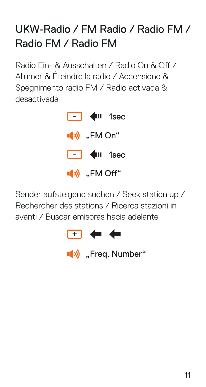#### UKW-Radio / FM Radio / Radio FM / Radio FM / Radio FM

Radio Ein- & Ausschalten / Radio On & Off / Allumer & Éteindre la radio / Accensione & Spegnimento radio FM / Radio activada & desactivada

> $\Box$   $\blacksquare$  1sec  $\Box$   $\blacksquare$  1sec <sup>"</sup>" FM On. (b) ..FM Off"

Sender aufsteigend suchen / Seek station up / Rechercher des stations / Ricerca stazioni in avanti / Buscar emisoras hacia adelante



(b) "Freq. Number"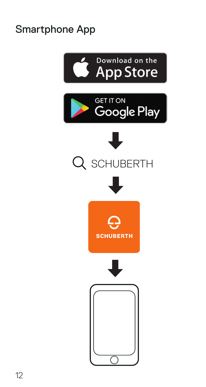#### Smartphone App

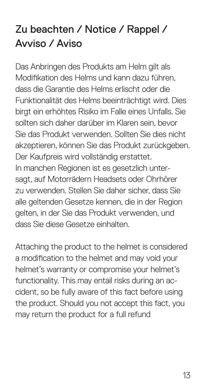#### Zu beachten / Notice / Rappel / Avviso / Aviso

Das Anbringen des Produkts am Helm gilt als Modifikation des Helms und kann dazu führen, dass die Garantie des Helms erlischt oder die Funktionalität des Helms beeinträchtigt wird. Dies birgt ein erhöhtes Risiko im Falle eines Unfalls. Sie sollten sich daher darüber im Klaren sein, bevor Sie das Produkt verwenden. Sollten Sie dies nicht akzeptieren, können Sie das Produkt zurückgeben. Der Kaufpreis wird vollständig erstattet. In manchen Regionen ist es gesetzlich untersagt, auf Motorrädern Headsets oder Ohrhörer zu verwenden. Stellen Sie daher sicher, dass Sie alle geltenden Gesetze kennen, die in der Region gelten, in der Sie das Produkt verwenden, und dass Sie diese Gesetze einhalten.

Attaching the product to the helmet is considered a modification to the helmet and may void your helmet's warranty or compromise your helmet's functionality. This may entail risks during an accident, so be fully aware of this fact before using the product. Should you not accept this fact, you may return the product for a full refund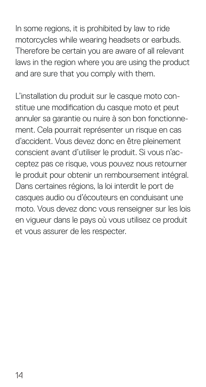In some regions, it is prohibited by law to ride motorcycles while wearing headsets or earbuds. Therefore be certain you are aware of all relevant laws in the region where you are using the product and are sure that you comply with them.

L'installation du produit sur le casque moto constitue une modification du casque moto et peut annuler sa garantie ou nuire à son bon fonctionnement. Cela pourrait représenter un risque en cas d'accident. Vous devez donc en être pleinement conscient avant d'utiliser le produit. Si vous n'acceptez pas ce risque, vous pouvez nous retourner le produit pour obtenir un remboursement intégral. Dans certaines régions, la loi interdit le port de casques audio ou d'écouteurs en conduisant une moto. Vous devez donc vous renseigner sur les lois en vigueur dans le pays où vous utilisez ce produit et vous assurer de les respecter.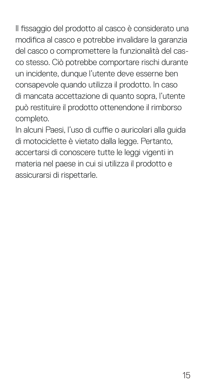Il fissaggio del prodotto al casco è considerato una modifica al casco e potrebbe invalidare la garanzia del casco o compromettere la funzionalità del casco stesso. Ciò potrebbe comportare rischi durante un incidente, dunque l'utente deve esserne ben consapevole quando utilizza il prodotto. In caso di mancata accettazione di quanto sopra, l'utente può restituire il prodotto ottenendone il rimborso completo.

In alcuni Paesi, l'uso di cuffie o auricolari alla guida di motociclette è vietato dalla legge. Pertanto, accertarsi di conoscere tutte le leggi vigenti in materia nel paese in cui si utilizza il prodotto e assicurarsi di rispettarle.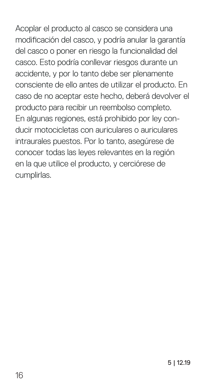Acoplar el producto al casco se considera una modificación del casco, y podría anular la garantía del casco o poner en riesgo la funcionalidad del casco. Esto podría conllevar riesgos durante un accidente, y por lo tanto debe ser plenamente consciente de ello antes de utilizar el producto. En caso de no aceptar este hecho, deberá devolver el producto para recibir un reembolso completo. En algunas regiones, está prohibido por ley conducir motocicletas con auriculares o auriculares intraurales puestos. Por lo tanto, asegúrese de conocer todas las leyes relevantes en la región en la que utilice el producto, y cerciórese de cumplirlas.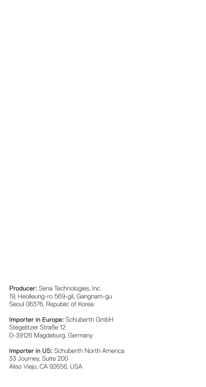Producer: Sena Technologies, Inc 19, Heolleung-ro 569-gil, Gangnam-gu Seoul 06376, Republic of Korea

Importer in Europe: Schuberth GmbH Stegelitzer Straße 12 D-39126 Magdeburg, Germany

Importer in US: Schuberth North America 33 Journey, Suite 200 Aliso Viejo, CA 92656, USA